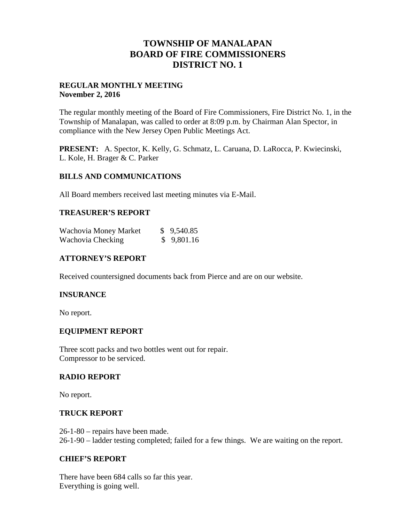# **TOWNSHIP OF MANALAPAN BOARD OF FIRE COMMISSIONERS DISTRICT NO. 1**

## **REGULAR MONTHLY MEETING November 2, 2016**

The regular monthly meeting of the Board of Fire Commissioners, Fire District No. 1, in the Township of Manalapan, was called to order at 8:09 p.m. by Chairman Alan Spector, in compliance with the New Jersey Open Public Meetings Act.

**PRESENT:** A. Spector, K. Kelly, G. Schmatz, L. Caruana, D. LaRocca, P. Kwiecinski, L. Kole, H. Brager & C. Parker

### **BILLS AND COMMUNICATIONS**

All Board members received last meeting minutes via E-Mail.

### **TREASURER'S REPORT**

| Wachovia Money Market | \$9,540.85 |
|-----------------------|------------|
| Wachovia Checking     | \$9,801.16 |

## **ATTORNEY'S REPORT**

Received countersigned documents back from Pierce and are on our website.

### **INSURANCE**

No report.

### **EQUIPMENT REPORT**

Three scott packs and two bottles went out for repair. Compressor to be serviced.

### **RADIO REPORT**

No report.

### **TRUCK REPORT**

26-1-80 – repairs have been made. 26-1-90 – ladder testing completed; failed for a few things. We are waiting on the report.

### **CHIEF'S REPORT**

There have been 684 calls so far this year. Everything is going well.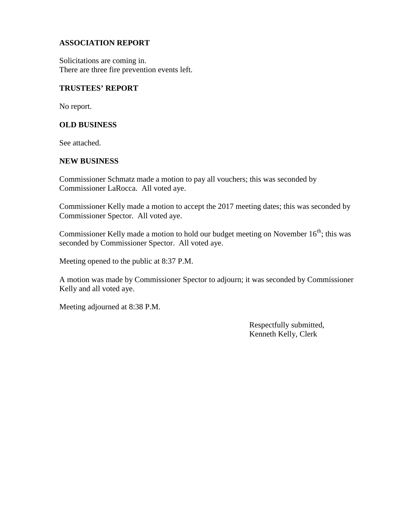## **ASSOCIATION REPORT**

Solicitations are coming in. There are three fire prevention events left.

#### **TRUSTEES' REPORT**

No report.

#### **OLD BUSINESS**

See attached.

#### **NEW BUSINESS**

Commissioner Schmatz made a motion to pay all vouchers; this was seconded by Commissioner LaRocca. All voted aye.

Commissioner Kelly made a motion to accept the 2017 meeting dates; this was seconded by Commissioner Spector. All voted aye.

Commissioner Kelly made a motion to hold our budget meeting on November  $16<sup>th</sup>$ ; this was seconded by Commissioner Spector. All voted aye.

Meeting opened to the public at 8:37 P.M.

A motion was made by Commissioner Spector to adjourn; it was seconded by Commissioner Kelly and all voted aye.

Meeting adjourned at 8:38 P.M.

Respectfully submitted, Kenneth Kelly, Clerk